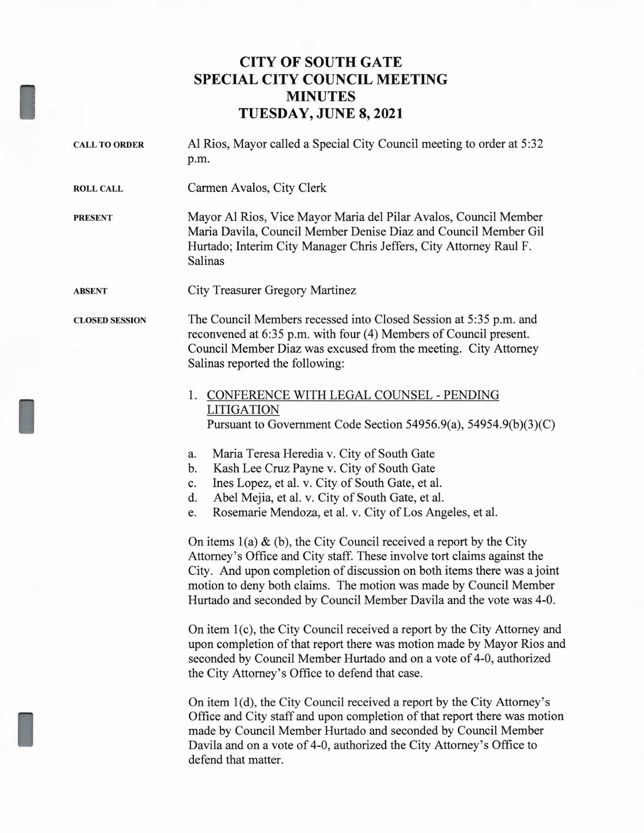## **CITY OF SOUTH GATE SPECIAL CITY COUNCIL MEETING MINUTES TUESDAY, JUNE 8, 2021**

| Al Rios, Mayor called a Special City Council meeting to order at 5:32<br>p.m.                                                                                                                                                                                                                                                                                                                                                                                                                                                                                                                                                                                                                                                                                                                                                                                                                                                                                                                                                                                                                                                                                                                                                                                                                                                                                                                    |
|--------------------------------------------------------------------------------------------------------------------------------------------------------------------------------------------------------------------------------------------------------------------------------------------------------------------------------------------------------------------------------------------------------------------------------------------------------------------------------------------------------------------------------------------------------------------------------------------------------------------------------------------------------------------------------------------------------------------------------------------------------------------------------------------------------------------------------------------------------------------------------------------------------------------------------------------------------------------------------------------------------------------------------------------------------------------------------------------------------------------------------------------------------------------------------------------------------------------------------------------------------------------------------------------------------------------------------------------------------------------------------------------------|
| Carmen Avalos, City Clerk                                                                                                                                                                                                                                                                                                                                                                                                                                                                                                                                                                                                                                                                                                                                                                                                                                                                                                                                                                                                                                                                                                                                                                                                                                                                                                                                                                        |
| Mayor Al Rios, Vice Mayor Maria del Pilar Avalos, Council Member<br>Maria Davila, Council Member Denise Diaz and Council Member Gil<br>Hurtado; Interim City Manager Chris Jeffers, City Attorney Raul F.<br>Salinas                                                                                                                                                                                                                                                                                                                                                                                                                                                                                                                                                                                                                                                                                                                                                                                                                                                                                                                                                                                                                                                                                                                                                                             |
| City Treasurer Gregory Martinez                                                                                                                                                                                                                                                                                                                                                                                                                                                                                                                                                                                                                                                                                                                                                                                                                                                                                                                                                                                                                                                                                                                                                                                                                                                                                                                                                                  |
| The Council Members recessed into Closed Session at 5:35 p.m. and<br>reconvened at 6:35 p.m. with four (4) Members of Council present.<br>Council Member Diaz was excused from the meeting. City Attorney<br>Salinas reported the following:                                                                                                                                                                                                                                                                                                                                                                                                                                                                                                                                                                                                                                                                                                                                                                                                                                                                                                                                                                                                                                                                                                                                                     |
| 1. CONFERENCE WITH LEGAL COUNSEL - PENDING<br><b>LITIGATION</b><br>Pursuant to Government Code Section 54956.9(a), 54954.9(b)(3)(C)<br>Maria Teresa Heredia v. City of South Gate<br>a.<br>Kash Lee Cruz Payne v. City of South Gate<br>b.<br>Ines Lopez, et al. v. City of South Gate, et al.<br>c.<br>Abel Mejia, et al. v. City of South Gate, et al.<br>d.<br>Rosemarie Mendoza, et al. v. City of Los Angeles, et al.<br>e.<br>On items $1(a) \& (b)$ , the City Council received a report by the City<br>Attorney's Office and City staff. These involve tort claims against the<br>City. And upon completion of discussion on both items there was a joint<br>motion to deny both claims. The motion was made by Council Member<br>Hurtado and seconded by Council Member Davila and the vote was 4-0.<br>On item 1(c), the City Council received a report by the City Attorney and<br>upon completion of that report there was motion made by Mayor Rios and<br>seconded by Council Member Hurtado and on a vote of 4-0, authorized<br>the City Attorney's Office to defend that case.<br>On item 1(d), the City Council received a report by the City Attorney's<br>Office and City staff and upon completion of that report there was motion<br>made by Council Member Hurtado and seconded by Council Member<br>Davila and on a vote of 4-0, authorized the City Attorney's Office to |
|                                                                                                                                                                                                                                                                                                                                                                                                                                                                                                                                                                                                                                                                                                                                                                                                                                                                                                                                                                                                                                                                                                                                                                                                                                                                                                                                                                                                  |